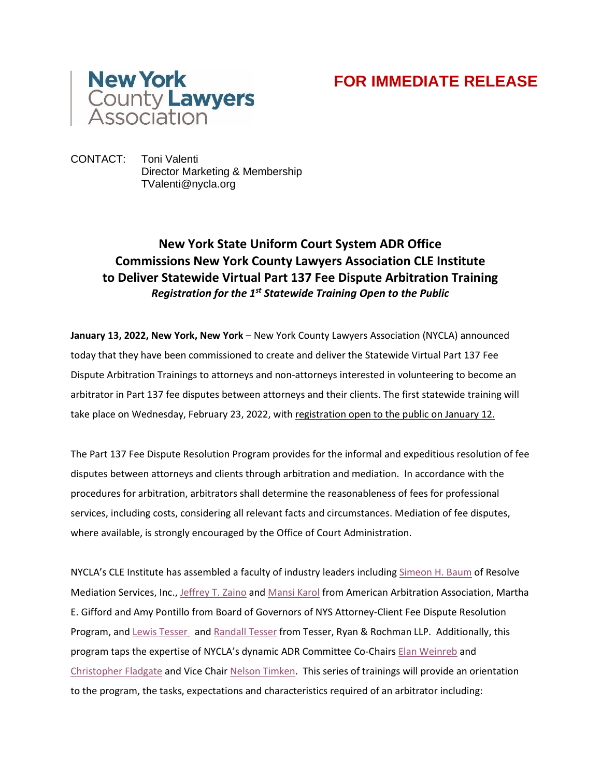

## **FOR IMMEDIATE RELEASE**

CONTACT: Toni Valenti Director Marketing & Membership TValenti@nycla.org

## **New York State Uniform Court System ADR Office Commissions New York County Lawyers Association CLE Institute to Deliver Statewide Virtual Part 137 Fee Dispute Arbitration Training** *Registration for the 1st Statewide Training Open to the Public*

**January 13, 2022, New York, New York** – New York County Lawyers Association (NYCLA) announced today that they have been commissioned to create and deliver the Statewide Virtual Part 137 Fee Dispute Arbitration Trainings to attorneys and non-attorneys interested in volunteering to become an arbitrator in Part 137 fee disputes between attorneys and their clients. The first statewide training will take place on Wednesday, February 23, 2022, with [registration](https://www.nycla.org/NYCLA/Events/Event_Display.aspx?EventKey=CLE022322) open to the public on January 12.

The Part 137 Fee Dispute Resolution Program provides for the informal and expeditious resolution of fee disputes between attorneys and clients through arbitration and mediation. In accordance with the procedures for arbitration, arbitrators shall determine the reasonableness of fees for professional services, including costs, considering all relevant facts and circumstances. Mediation of fee disputes, where available, is strongly encouraged by the Office of Court Administration.

NYCLA's CLE Institute has assembled a faculty of industry leaders including [Simeon](https://mediators.com/biography/) H. Baum of Resolve Mediation Services, Inc., [Jeffrey](https://www.aaaeducation.org/faculty-staff/faculty/jeff-zaino/) T. Zaino and [Mansi](https://www.aaaeducation.org/faculty-staff/faculty/mansi-karol/) Karol from American Arbitration Association, Martha E. Gifford and Amy Pontillo from Board of Governors of NYS Attorney-Client Fee Dispute Resolution Program, and Lewis [Tesser](https://tesserryan.com/attorney/lewis-tesser-2/) and [Randall](https://tesserryan.com/attorney/randall-tesser/) Tesser from Tesser, Ryan & Rochman LLP. Additionally, this program taps the expertise of NYCLA's dynamic ADR Committee Co-Chairs Elan [Weinreb](https://www.weinreblaw.com/attorneys/elan-e-weinreb/) and [Christopher](https://www.gs2law.com/team-chris-fladgate) Fladgate and Vice Chair Nelson [Timken.](https://www.linkedin.com/in/nelsontimken) This series of trainings will provide an orientation to the program, the tasks, expectations and characteristics required of an arbitrator including: